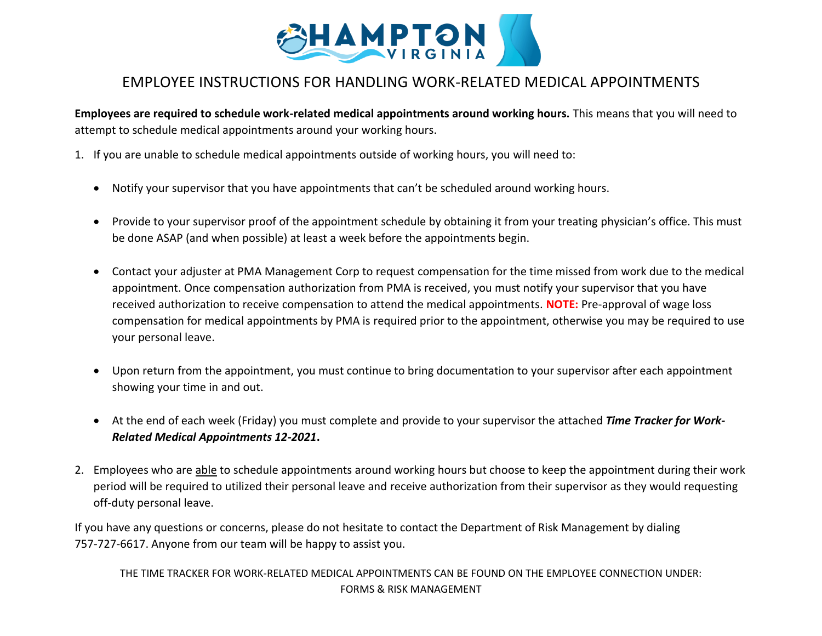

## EMPLOYEE INSTRUCTIONS FOR HANDLING WORK-RELATED MEDICAL APPOINTMENTS

**Employees are required to schedule work-related medical appointments around working hours.** This means that you will need to attempt to schedule medical appointments around your working hours.

- 1. If you are unable to schedule medical appointments outside of working hours, you will need to:
	- Notify your supervisor that you have appointments that can't be scheduled around working hours.
	- Provide to your supervisor proof of the appointment schedule by obtaining it from your treating physician's office. This must be done ASAP (and when possible) at least a week before the appointments begin.
	- Contact your adjuster at PMA Management Corp to request compensation for the time missed from work due to the medical appointment. Once compensation authorization from PMA is received, you must notify your supervisor that you have received authorization to receive compensation to attend the medical appointments. **NOTE:** Pre-approval of wage loss compensation for medical appointments by PMA is required prior to the appointment, otherwise you may be required to use your personal leave.
	- Upon return from the appointment, you must continue to bring documentation to your supervisor after each appointment showing your time in and out.
	- At the end of each week (Friday) you must complete and provide to your supervisor the attached *Time Tracker for Work-Related Medical Appointments 12-2021***.**
- 2. Employees who are able to schedule appointments around working hours but choose to keep the appointment during their work period will be required to utilized their personal leave and receive authorization from their supervisor as they would requesting off-duty personal leave.

If you have any questions or concerns, please do not hesitate to contact the Department of Risk Management by dialing 757-727-6617. Anyone from our team will be happy to assist you.

THE TIME TRACKER FOR WORK-RELATED MEDICAL APPOINTMENTS CAN BE FOUND ON THE EMPLOYEE CONNECTION UNDER: FORMS & RISK MANAGEMENT